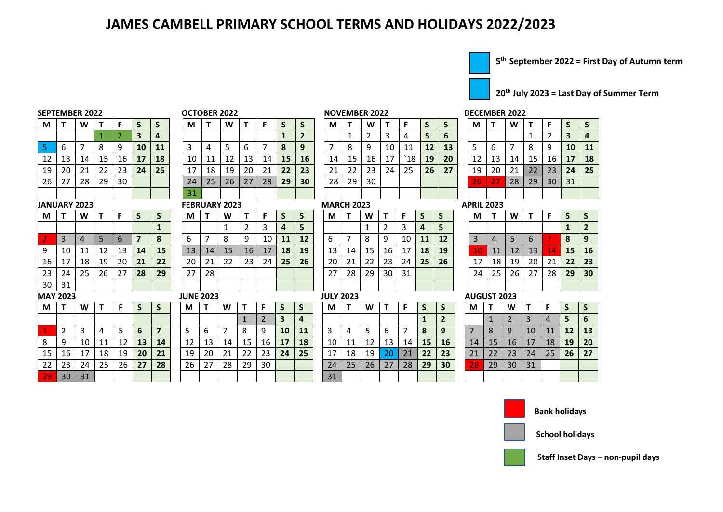## **JAMES CAMBELL PRIMARY SCHOOL TERMS AND HOLIDAYS 2022/2023**



**th September 2022 = First Day of Autumn term**

**th July 2023 = Last Day of Summer Term**

| <b>SEPTEMBER 2022</b> |    |    |    |    |    |                  | OCTOBER 2022 |    |    |    |    |    |          | <b>NOVEMBER 2022</b> |    |    |    |     |    |    |    |    | <b>DECEMBER 2022</b> |  |
|-----------------------|----|----|----|----|----|------------------|--------------|----|----|----|----|----|----------|----------------------|----|----|----|-----|----|----|----|----|----------------------|--|
| M                     |    | W  |    |    |    | S                | М            |    | W  |    |    |    |          | М                    |    | W  |    |     |    |    | M  |    | W                    |  |
|                       |    |    |    |    | э  | $\boldsymbol{4}$ |              |    |    |    |    |    | <b>.</b> |                      |    |    |    |     | 5  | b  |    |    |                      |  |
|                       |    |    |    |    | 10 | 11               |              | 4  |    | b  |    | 8  | 9        |                      |    | 9  | 10 | -11 | 12 | 13 |    | b  |                      |  |
| 12                    | 13 | 14 | 15 | 16 | 17 | 18               | 10           | 11 |    | 13 | 14 | 15 | 16       | 14                   | 15 | 16 | 17 | `18 | 19 | 20 | 12 | 13 | 14                   |  |
| 19                    | 20 | 21 | 22 | 23 | 24 | 25               | 17           | 18 | 19 | 20 | 21 | 22 | 23       | 21                   | 22 | 23 | 24 | 25  | 26 | 27 | 19 | 20 | 21                   |  |
| 26                    | 27 | 28 | 29 | 30 |    |                  | 24           | 25 | 26 | 27 | 28 | 29 | 30       | 28                   | 29 | 30 |    |     |    |    | 26 | วว | 28                   |  |
|                       |    |    |    |    |    |                  |              |    |    |    |    |    |          |                      |    |    |    |     |    |    |    |    |                      |  |

### **JANUARY 2023 FEBRUARY 2023 MARCH 2023 APRIL 2023**

| M  | Т  | W  | т  | F  | S  | S  |
|----|----|----|----|----|----|----|
|    |    |    |    |    |    | 1  |
| 2  | 3  | 4  | 5  | 6  | 7  | 8  |
| 9  | 10 | 11 | 12 | 13 | 14 | 15 |
| 16 | 17 | 18 | 19 | 20 | 21 | 22 |
| 23 | 24 | 25 | 26 | 27 | 28 | 29 |
| 30 | 31 |    |    |    |    |    |

| М  |               | W  |    |    | S  | S  | М  |    | W  |    | F  |    | S  | M  |
|----|---------------|----|----|----|----|----|----|----|----|----|----|----|----|----|
|    |               |    |    |    |    |    |    |    |    |    |    | 3  | 4  |    |
| J. | $\mathfrak z$ | 3  | 4  |    | 6  | 7  | 5  | 6  |    | 8  | 9  | 10 | 11 |    |
| 8  | 9             | 10 | 11 | 12 | 13 | 14 | 12 | 13 | 14 | 15 | 16 | 17 | 18 | 10 |
| 15 | 16            | 17 | 18 | 19 | 20 | 21 | 19 | 20 | 21 | 22 | 23 | 24 | 25 | 17 |
| 22 | 23            | 24 | 25 | 26 | 27 | 28 | 26 | 27 | 28 | 29 | 30 |    |    | 24 |
| 29 | 30            | 31 |    |    |    |    |    |    |    |    |    |    |    | 31 |

| М               |    | W  |    |    |    |    | М  |    | W  |    |    |    | э         | M  |    | W  |    |     |    |    | M  |    | W  |    |    |    |  |
|-----------------|----|----|----|----|----|----|----|----|----|----|----|----|-----------|----|----|----|----|-----|----|----|----|----|----|----|----|----|--|
|                 |    |    |    |    | З  | 4  |    |    |    |    |    |    | 2         |    |    |    | 3  | 4   | 5  | b  |    |    |    |    | ∠  | 3  |  |
|                 | -6 |    |    | 9  | 10 | 11 | 3  | 4  | כ  | b  |    | 8  | 9         |    | 8  | 9  | 10 | 11  | 12 | 13 |    | b  |    | 8  | 9  | 10 |  |
| 12 <sub>1</sub> | 13 | 14 | 15 | 16 | 17 | 18 | 10 |    | 12 | 13 | 14 | 15 | <b>16</b> | 14 | 15 | 16 | 17 | `18 | 19 | 20 | 12 | 13 | 14 | 15 | 16 | 17 |  |
| 19              | 20 | 21 | 22 | 23 | 24 | 25 | 17 | 18 | 19 | 20 | 21 | 22 | 23        | 21 | 22 | 23 | 24 | 25  | 26 | 27 | 19 | 20 | 21 | 22 | 23 | 24 |  |
| 26              | 27 | 28 | 29 | 30 |    |    | 24 | 25 | 26 | 27 | 28 | 29 | 30        | 28 | 29 | 30 |    |     |    |    | 26 | 27 | 28 | 29 | 30 | 31 |  |
|                 |    |    |    |    |    |    | 31 |    |    |    |    |    |           |    |    |    |    |     |    |    |    |    |    |    |    |    |  |
|                 |    |    |    |    |    |    |    |    |    |    |    |    |           |    |    |    |    |     |    |    |    |    |    |    |    |    |  |

| M   T |    | W  |    |             |    |    | М  |    | W  |    | E  |    |    | M  |    | W  |    |    |           |    | M                      |                | W  |                 |     |                 |    |
|-------|----|----|----|-------------|----|----|----|----|----|----|----|----|----|----|----|----|----|----|-----------|----|------------------------|----------------|----|-----------------|-----|-----------------|----|
|       |    |    |    |             |    |    |    |    |    |    | 3  | 4  |    |    |    |    |    |    | 4         |    |                        |                |    |                 |     |                 |    |
|       | 3  | 4  |    | $\mathbf b$ |    | 8  | b  |    | 8  | 9  | 10 | 11 | 12 | 6  |    | 8  | 9  | 10 | <b>11</b> | 12 | -3                     | $\overline{4}$ |    | $\mathbf b$     |     |                 |    |
| 9     | 10 | 11 | 12 | 13          | 14 | 15 | 13 | 14 | 15 | 16 | 17 | 18 | 19 | 13 | 14 | 15 | 16 | 17 | 18        | 19 | $\mathbf{10}^{\prime}$ | 11             | 12 | 13 <sup>2</sup> | 14' | 15              | 16 |
| 16    | 17 | 18 | 19 | 20          | 21 | 22 | 20 | 21 | 22 | 23 | 24 | 25 | 26 | 20 | 21 | 22 | 23 | 24 | 25        | 26 | 17                     | 18             | 19 | 20              | 21  | 22              | 23 |
| 23    | 24 | 25 | 26 | 27          | 28 | 29 | 27 | 28 |    |    |    |    |    | 27 | 28 | 29 | 30 | 31 |           |    | 24                     | 25             | 26 | 27              | 28  | 29 <sup>°</sup> | 30 |
| 30    | 31 |    |    |             |    |    |    |    |    |    |    |    |    |    |    |    |    |    |           |    |                        |                |    |                 |     |                 |    |

| М    |                 | W  |    |    |    |    | M  |    | W  |    |    | <b>S</b>  |    | М  |    | W  |    |    |    | <sub>S</sub>    | M  |    | W  |    |    |           |                  |
|------|-----------------|----|----|----|----|----|----|----|----|----|----|-----------|----|----|----|----|----|----|----|-----------------|----|----|----|----|----|-----------|------------------|
|      |                 |    |    |    |    |    |    |    |    |    | ∠  | 3         | 4  |    |    |    |    |    |    | $\mathbf{2}$    |    |    |    |    |    |           | $\blacksquare$ 6 |
|      | ▵               | 3  |    | ر  | 6  |    |    | 6  |    | 8  | 9  | <b>10</b> | 11 | 3  | 4  | כ  | b  |    | 8  | 9               |    | 8  | 9  | 10 | 11 | <b>12</b> | 13               |
| 8.   | -9              | 10 | 11 | 12 | 13 | 14 | 12 | 13 | 14 | 15 | 16 | 17        | 18 | 10 |    | 12 | 13 | 14 | 15 | <b>16</b>       | 14 | 15 | 16 | 17 | 18 | <b>19</b> | 20               |
| 15   | 16              | 17 | 18 | 19 | 20 | 21 | 19 | 20 | 21 | 22 | 23 | 24        | 25 | 17 | 18 | 19 | 20 | 21 | 22 | 23              | 21 | 22 | 23 | 24 | 25 | 26        | -27              |
| 22 l | 23              | 24 | 25 | 26 | 27 | 28 | 26 | 27 | 28 | 29 | 30 |           |    | 24 | 25 | 26 | 27 | 28 | 29 | 30 <sup>°</sup> | 28 | 29 | 30 | 31 |    |           |                  |
| 29   | 30 <sup>1</sup> | 31 |    |    |    |    |    |    |    |    |    |           |    | 31 |    |    |    |    |    |                 |    |    |    |    |    |           |                  |

| М  |    | W  |    | F  | ು         | 5         | M  |    | W  |    |    | ১         |    | M  |    | W  |    |     |    |    | M  |            | W  |    |    |           |    |
|----|----|----|----|----|-----------|-----------|----|----|----|----|----|-----------|----|----|----|----|----|-----|----|----|----|------------|----|----|----|-----------|----|
|    |    |    |    | 2  | -3        | 4         |    |    |    |    |    |           |    |    |    |    | 3  | 4   | 5  | 6  |    |            |    |    |    |           |    |
|    | b  |    | 8  | 9  | 10        | <b>11</b> |    | 4  |    | b  |    | 8         | 9  |    | 8  | 9  | 10 | 11  | 12 | 13 | 5  | 6          |    | -8 | 9  | <b>10</b> | 11 |
| 12 | 13 | 14 | 15 | 16 | <b>17</b> | 18        | 10 | 11 | 12 | 13 | 14 | <b>15</b> | 16 | 14 | 15 | 16 | 17 | `18 | 19 | 20 | 12 | 13         | 14 | 15 | 16 | 17        | 18 |
| 19 | 20 | 21 | 22 | 23 | 24        | 25        | 17 | 18 | 19 | 20 | 21 | 22        | 23 | 21 | 22 | 23 | 24 | 25  | 26 | 27 | 19 | 20         | 21 | 22 | 23 | 24        | 25 |
| 26 | 27 | 28 | 29 | 30 |           |           | 24 | 25 | 26 | 27 | 28 | 29        | 30 | 28 | 29 | 30 |    |     |    |    | 26 | $\angle$ / | 28 | 29 | 30 | 31        |    |
|    |    |    |    |    |           |           | 31 |    |    |    |    |           |    |    |    |    |    |     |    |    |    |            |    |    |    |           |    |

| M  |    | W  |    | F  | S  | S              |
|----|----|----|----|----|----|----------------|
|    |    |    |    |    | 1  | $\overline{2}$ |
| 3  | 4  | 5  | 6  |    | 8  | 9              |
| 10 | 11 | 12 | 13 | 14 | 15 | 16             |
| 17 | 18 | 19 | 20 | 21 | 22 | 23             |
| 24 | 25 | 26 | 27 | 28 | 29 | 30             |
|    |    |    |    |    |    |                |

### **MAY 2023 JUNE 2023 JULY 2023 AUGUST 2023**

| M  |    | W  |    | F  | S  | S  |
|----|----|----|----|----|----|----|
|    | 1  | 2  | 3  | 4  | 5  | 6  |
|    | 8  | 9  | 10 | 11 | 12 | 13 |
| 14 | 15 | 16 | 17 | 18 | 19 | 20 |
| 21 | 22 | 23 | 24 | 25 | 26 | 27 |
| 28 | 29 | 30 | 31 |    |    |    |
|    |    |    |    |    |    |    |